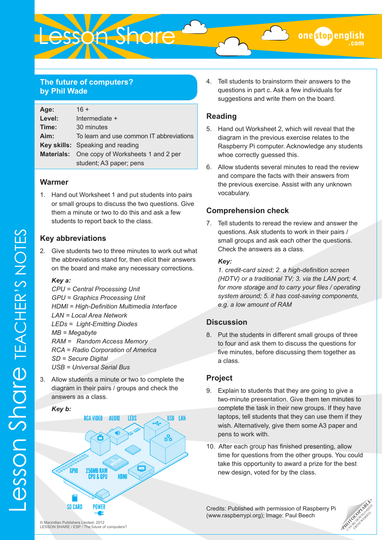# **The future of computers? by Phil Wade**

| Age:   | $16 +$                                               |  |
|--------|------------------------------------------------------|--|
| Level: | Intermediate +                                       |  |
| Time:  | 30 minutes                                           |  |
| Aim:   | To learn and use common IT abbreviations             |  |
|        | Key skills: Speaking and reading                     |  |
|        | <b>Materials:</b> One copy of Worksheets 1 and 2 per |  |
|        | student; A3 paper; pens                              |  |

#### **Warmer**

1. Hand out Worksheet 1 and put students into pairs or small groups to discuss the two questions. Give them a minute or two to do this and ask a few students to report back to the class.

# **Key abbreviations**

2. Give students two to three minutes to work out what the abbreviations stand for, then elicit their answers on the board and make any necessary corrections.

#### *Key a:*

*CPU = Central Processing Unit GPU = Graphics Processing Unit HDMI = High-Definition Multimedia Interface LAN = Local Area Network LEDs = Light-Emitting Diodes MB = Megabyte RAM = Random Access Memory RCA = Radio Corporation of America SD = Secure Digital USB = Universal Serial Bus*

3. Allow students a minute or two to complete the diagram in their pairs / groups and check the answers as a class.



4. Tell students to brainstorm their answers to the questions in part c. Ask a few individuals for suggestions and write them on the board.

onestopeng

# **Reading**

- 5. Hand out Worksheet 2, which will reveal that the diagram in the previous exercise relates to the Raspberry Pi computer. Acknowledge any students whoe correctly guessed this.
- 6. Allow students several minutes to read the review and compare the facts with their answers from the previous exercise. Assist with any unknown vocabulary.

# **Comprehension check**

7. Tell students to reread the review and answer the questions. Ask students to work in their pairs / small groups and ask each other the questions. Check the answers as a class.

#### *Key:*

*1. credit-card sized; 2. a high-definition screen (HDTV) or a traditional TV; 3. via the LAN port; 4. for more storage and to carry your files / operating system around; 5. it has cost-saving components, e.g. a low amount of RAM*

### **Discussion**

8. Put the students in different small groups of three to four and ask them to discuss the questions for five minutes, before discussing them together as a class.

### **Project**

- 9. Explain to students that they are going to give a two-minute presentation. Give them ten minutes to complete the task in their new groups. If they have laptops, tell students that they can use them if they wish. Alternatively, give them some A3 paper and pens to work with.
- 10. After each group has finished presenting, allow time for questions from the other groups. You could take this opportunity to award a prize for the best new design, voted for by the class.

Credits: Published with permission of Raspberry Pi ([www.raspberrypi.org\)](www.raspberrypi.org); Image: Paul Beech

**PHOTOCOPIABLE** 

**ESSON Share TEACHER'S NOTES** Lesson Share TEACHER'S NOTES

© Macmillan Publishers Limited, 2012 LESSON SHARE / ESP / The future of computers?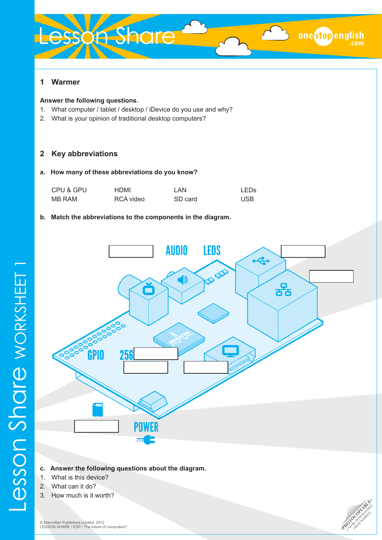# Lesson Share

#### **Answer the following questions.**

- 1. What computer / tablet / desktop / iDevice do you use and why?
- 2. What is your opinion of traditional desktop computers?

# **2 Key abbreviations**

#### **a. How many of these abbreviations do you know?**

| CPU & GPU | HDMI      | LAN.    | LED <sub>S</sub> |
|-----------|-----------|---------|------------------|
| MB RAM    | RCA video | SD card | <b>USB</b>       |

#### **b. Match the abbreviations to the components in the diagram.**



- **c. Answer the following questions about the diagram.**
- 1. What is this device?
- 2. What can it do?

Lesson Share worksheet 1

3. How much is it worth?



one stopenglish